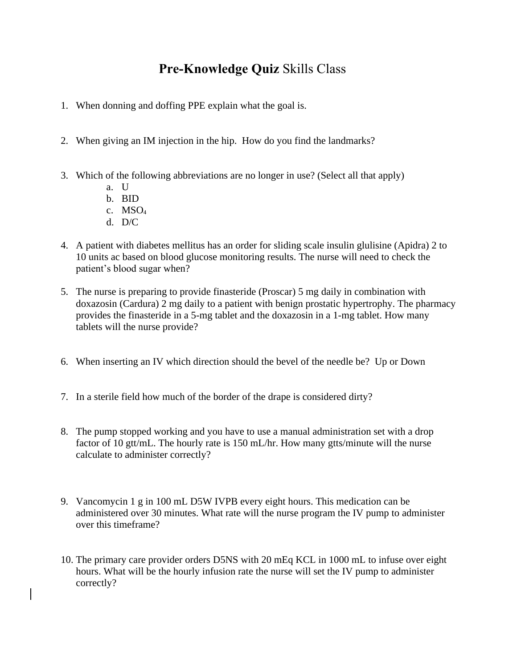## **Pre-Knowledge Quiz** Skills Class

- 1. When donning and doffing PPE explain what the goal is.
- 2. When giving an IM injection in the hip. How do you find the landmarks?
- 3. Which of the following abbreviations are no longer in use? (Select all that apply)
	- a. U
	- b. BID
	- c. MSO<sup>4</sup>
	- d. D/C
- 4. A patient with diabetes mellitus has an order for sliding scale insulin glulisine (Apidra) 2 to 10 units ac based on blood glucose monitoring results. The nurse will need to check the patient's blood sugar when?
- 5. The nurse is preparing to provide finasteride (Proscar) 5 mg daily in combination with doxazosin (Cardura) 2 mg daily to a patient with benign prostatic hypertrophy. The pharmacy provides the finasteride in a 5-mg tablet and the doxazosin in a 1-mg tablet. How many tablets will the nurse provide?
- 6. When inserting an IV which direction should the bevel of the needle be? Up or Down
- 7. In a sterile field how much of the border of the drape is considered dirty?
- 8. The pump stopped working and you have to use a manual administration set with a drop factor of 10 gtt/mL. The hourly rate is 150 mL/hr. How many gtts/minute will the nurse calculate to administer correctly?
- 9. Vancomycin 1 g in 100 mL D5W IVPB every eight hours. This medication can be administered over 30 minutes. What rate will the nurse program the IV pump to administer over this timeframe?
- 10. The primary care provider orders D5NS with 20 mEq KCL in 1000 mL to infuse over eight hours. What will be the hourly infusion rate the nurse will set the IV pump to administer correctly?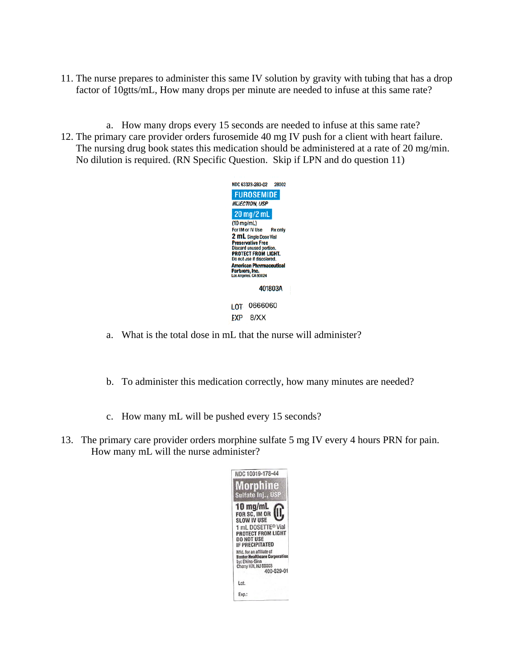- 11. The nurse prepares to administer this same IV solution by gravity with tubing that has a drop factor of 10gtts/mL, How many drops per minute are needed to infuse at this same rate?
- a. How many drops every 15 seconds are needed to infuse at this same rate? 12. The primary care provider orders furosemide 40 mg IV push for a client with heart failure. The nursing drug book states this medication should be administered at a rate of 20 mg/min. No dilution is required. (RN Specific Question. Skip if LPN and do question 11)



- a. What is the total dose in mL that the nurse will administer?
- b. To administer this medication correctly, how many minutes are needed?
- c. How many mL will be pushed every 15 seconds?
- 13. The primary care provider orders morphine sulfate 5 mg IV every 4 hours PRN for pain. How many mL will the nurse administer?

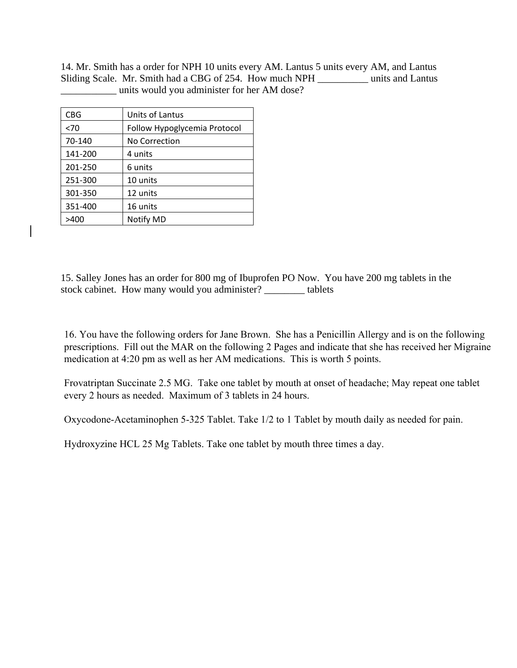14. Mr. Smith has a order for NPH 10 units every AM. Lantus 5 units every AM, and Lantus Sliding Scale. Mr. Smith had a CBG of 254. How much NPH \_\_\_\_\_\_\_\_\_\_ units and Lantus \_\_\_\_\_\_\_\_\_\_\_ units would you administer for her AM dose?

| Units of Lantus              |
|------------------------------|
| Follow Hypoglycemia Protocol |
| No Correction                |
| 4 units                      |
| 6 units                      |
| 10 units                     |
| 12 units                     |
| 16 units                     |
| Notify MD                    |
|                              |

15. Salley Jones has an order for 800 mg of Ibuprofen PO Now. You have 200 mg tablets in the stock cabinet. How many would you administer? \_\_\_\_\_\_\_\_ tablets

16. You have the following orders for Jane Brown. She has a Penicillin Allergy and is on the following prescriptions. Fill out the MAR on the following 2 Pages and indicate that she has received her Migraine medication at 4:20 pm as well as her AM medications. This is worth 5 points.

Frovatriptan Succinate 2.5 MG. Take one tablet by mouth at onset of headache; May repeat one tablet every 2 hours as needed. Maximum of 3 tablets in 24 hours.

Oxycodone-Acetaminophen 5-325 Tablet. Take 1/2 to 1 Tablet by mouth daily as needed for pain.

Hydroxyzine HCL 25 Mg Tablets. Take one tablet by mouth three times a day.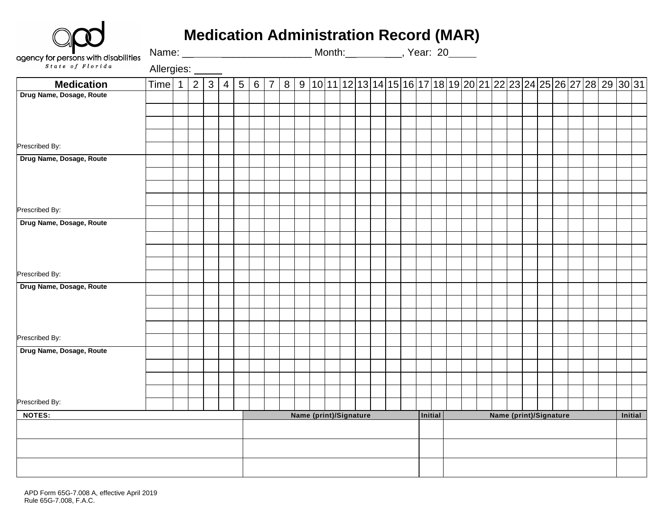| <b>Medication Administration Record (MAR)</b> |  |  |
|-----------------------------------------------|--|--|
|                                               |  |  |

| agency for persons with disabilities<br>$\frac{s \cdot t \cdot a \cdot e}{s \cdot f \cdot F \cdot b \cdot r \cdot d \cdot a}$ |                  |                |     |                 |                        |            |  |  |  |  |  |  |         |  |  | Month: __ ________, Year: 20_____ |                        |  |  |         |                                                                                                                       |  |  |
|-------------------------------------------------------------------------------------------------------------------------------|------------------|----------------|-----|-----------------|------------------------|------------|--|--|--|--|--|--|---------|--|--|-----------------------------------|------------------------|--|--|---------|-----------------------------------------------------------------------------------------------------------------------|--|--|
|                                                                                                                               | Allergies: _____ |                |     |                 |                        |            |  |  |  |  |  |  |         |  |  |                                   |                        |  |  |         |                                                                                                                       |  |  |
| <b>Medication</b>                                                                                                             | Time 1           | $\overline{2}$ | 3 4 | $5\overline{)}$ |                        | $6 \mid 7$ |  |  |  |  |  |  |         |  |  |                                   |                        |  |  |         | $8   9   10   11   12   13   14   15   16   17   18   19   20   21   22   23   24   25   26   27   28   29   30   31$ |  |  |
| Drug Name, Dosage, Route                                                                                                      |                  |                |     |                 |                        |            |  |  |  |  |  |  |         |  |  |                                   |                        |  |  |         |                                                                                                                       |  |  |
|                                                                                                                               |                  |                |     |                 |                        |            |  |  |  |  |  |  |         |  |  |                                   |                        |  |  |         |                                                                                                                       |  |  |
|                                                                                                                               |                  |                |     |                 |                        |            |  |  |  |  |  |  |         |  |  |                                   |                        |  |  |         |                                                                                                                       |  |  |
|                                                                                                                               |                  |                |     |                 |                        |            |  |  |  |  |  |  |         |  |  |                                   |                        |  |  |         |                                                                                                                       |  |  |
| Prescribed By:                                                                                                                |                  |                |     |                 |                        |            |  |  |  |  |  |  |         |  |  |                                   |                        |  |  |         |                                                                                                                       |  |  |
| Drug Name, Dosage, Route                                                                                                      |                  |                |     |                 |                        |            |  |  |  |  |  |  |         |  |  |                                   |                        |  |  |         |                                                                                                                       |  |  |
|                                                                                                                               |                  |                |     |                 |                        |            |  |  |  |  |  |  |         |  |  |                                   |                        |  |  |         |                                                                                                                       |  |  |
|                                                                                                                               |                  |                |     |                 |                        |            |  |  |  |  |  |  |         |  |  |                                   |                        |  |  |         |                                                                                                                       |  |  |
|                                                                                                                               |                  |                |     |                 |                        |            |  |  |  |  |  |  |         |  |  |                                   |                        |  |  |         |                                                                                                                       |  |  |
| Prescribed By:                                                                                                                |                  |                |     |                 |                        |            |  |  |  |  |  |  |         |  |  |                                   |                        |  |  |         |                                                                                                                       |  |  |
| Drug Name, Dosage, Route                                                                                                      |                  |                |     |                 |                        |            |  |  |  |  |  |  |         |  |  |                                   |                        |  |  |         |                                                                                                                       |  |  |
|                                                                                                                               |                  |                |     |                 |                        |            |  |  |  |  |  |  |         |  |  |                                   |                        |  |  |         |                                                                                                                       |  |  |
|                                                                                                                               |                  |                |     |                 |                        |            |  |  |  |  |  |  |         |  |  |                                   |                        |  |  |         |                                                                                                                       |  |  |
|                                                                                                                               |                  |                |     |                 |                        |            |  |  |  |  |  |  |         |  |  |                                   |                        |  |  |         |                                                                                                                       |  |  |
| Prescribed By:                                                                                                                |                  |                |     |                 |                        |            |  |  |  |  |  |  |         |  |  |                                   |                        |  |  |         |                                                                                                                       |  |  |
| Drug Name, Dosage, Route                                                                                                      |                  |                |     |                 |                        |            |  |  |  |  |  |  |         |  |  |                                   |                        |  |  |         |                                                                                                                       |  |  |
|                                                                                                                               |                  |                |     |                 |                        |            |  |  |  |  |  |  |         |  |  |                                   |                        |  |  |         |                                                                                                                       |  |  |
|                                                                                                                               |                  |                |     |                 |                        |            |  |  |  |  |  |  |         |  |  |                                   |                        |  |  |         |                                                                                                                       |  |  |
|                                                                                                                               |                  |                |     |                 |                        |            |  |  |  |  |  |  |         |  |  |                                   |                        |  |  |         |                                                                                                                       |  |  |
| Prescribed By:                                                                                                                |                  |                |     |                 |                        |            |  |  |  |  |  |  |         |  |  |                                   |                        |  |  |         |                                                                                                                       |  |  |
| Drug Name, Dosage, Route                                                                                                      |                  |                |     |                 |                        |            |  |  |  |  |  |  |         |  |  |                                   |                        |  |  |         |                                                                                                                       |  |  |
|                                                                                                                               |                  |                |     |                 |                        |            |  |  |  |  |  |  |         |  |  |                                   |                        |  |  |         |                                                                                                                       |  |  |
|                                                                                                                               |                  |                |     |                 |                        |            |  |  |  |  |  |  |         |  |  |                                   |                        |  |  |         |                                                                                                                       |  |  |
|                                                                                                                               |                  |                |     |                 |                        |            |  |  |  |  |  |  |         |  |  |                                   |                        |  |  |         |                                                                                                                       |  |  |
| Prescribed By:                                                                                                                |                  |                |     |                 |                        |            |  |  |  |  |  |  |         |  |  |                                   |                        |  |  |         |                                                                                                                       |  |  |
| <b>NOTES:</b>                                                                                                                 |                  |                |     |                 | Name (print)/Signature |            |  |  |  |  |  |  | Initial |  |  |                                   | Name (print)/Signature |  |  | Initial |                                                                                                                       |  |  |
|                                                                                                                               |                  |                |     |                 |                        |            |  |  |  |  |  |  |         |  |  |                                   |                        |  |  |         |                                                                                                                       |  |  |
|                                                                                                                               |                  |                |     |                 |                        |            |  |  |  |  |  |  |         |  |  |                                   |                        |  |  |         |                                                                                                                       |  |  |
|                                                                                                                               |                  |                |     |                 |                        |            |  |  |  |  |  |  |         |  |  |                                   |                        |  |  |         |                                                                                                                       |  |  |
|                                                                                                                               |                  |                |     |                 |                        |            |  |  |  |  |  |  |         |  |  |                                   |                        |  |  |         |                                                                                                                       |  |  |
|                                                                                                                               |                  |                |     |                 |                        |            |  |  |  |  |  |  |         |  |  |                                   |                        |  |  |         |                                                                                                                       |  |  |